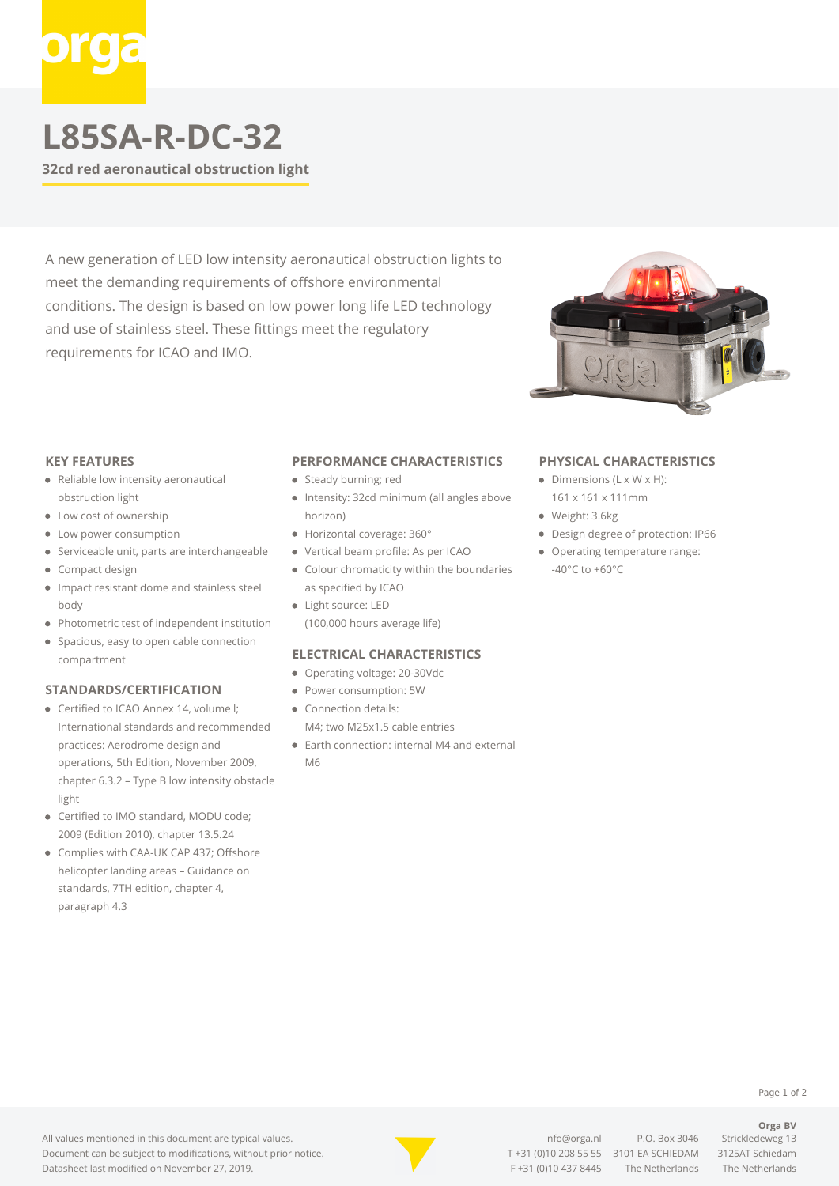# **L85SA-R-DC-32**

**32cd red aeronautical obstruction light**

A new generation of LED low intensity aeronautical obstruction lights to meet the demanding requirements of offshore environmental conditions. The design is based on low power long life LED technology and use of stainless steel. These fittings meet the regulatory requirements for ICAO and IMO.



#### **KEY FEATURES**

- Reliable low intensity aeronautical obstruction light
- Low cost of ownership
- Low power consumption
- Serviceable unit, parts are interchangeable
- Compact design
- Impact resistant dome and stainless steel body
- Photometric test of independent institution
- Spacious, easy to open cable connection compartment

## **STANDARDS/CERTIFICATION**

- Certified to ICAO Annex 14, volume I: International standards and recommended practices: Aerodrome design and operations, 5th Edition, November 2009, chapter 6.3.2 – Type B low intensity obstacle light
- Certified to IMO standard, MODU code; 2009 (Edition 2010), chapter 13.5.24
- Complies with CAA-UK CAP 437; Offshore helicopter landing areas – Guidance on standards, 7TH edition, chapter 4, paragraph 4.3

## **PERFORMANCE CHARACTERISTICS**

- Steady burning; red
- Intensity: 32cd minimum (all angles above horizon)
- Horizontal coverage: 360°
- Vertical beam profile: As per ICAO
- Colour chromaticity within the boundaries as specified by ICAO
- Light source: LED (100,000 hours average life)

## **ELECTRICAL CHARACTERISTICS**

- Operating voltage: 20-30Vdc
- Power consumption: 5W
- Connection details: M4; two M25x1.5 cable entries
- Earth connection: internal M4 and external M6

#### **PHYSICAL CHARACTERISTICS**

- $\bullet$  Dimensions (L x W x H): 161 x 161 x 111mm
- Weight: 3.6kg
- Design degree of protection: IP66
- Operating temperature range: -40°C to +60°C

#### Page 1 of 2

**Orga BV**

All values mentioned in this document are typical values. Document can be subject to modifications, without prior notice. Datasheet last modified on November 27, 2019.



[info@orga.nl](mailto:info@orga.nl) P.O. Box 3046 Strickledeweg 13 T [+31 \(0\)10 208 55 55](#page--1-0) 3101 EA SCHIEDAM 3125AT Schiedam F +31 (0)10 437 8445 The Netherlands The Netherlands